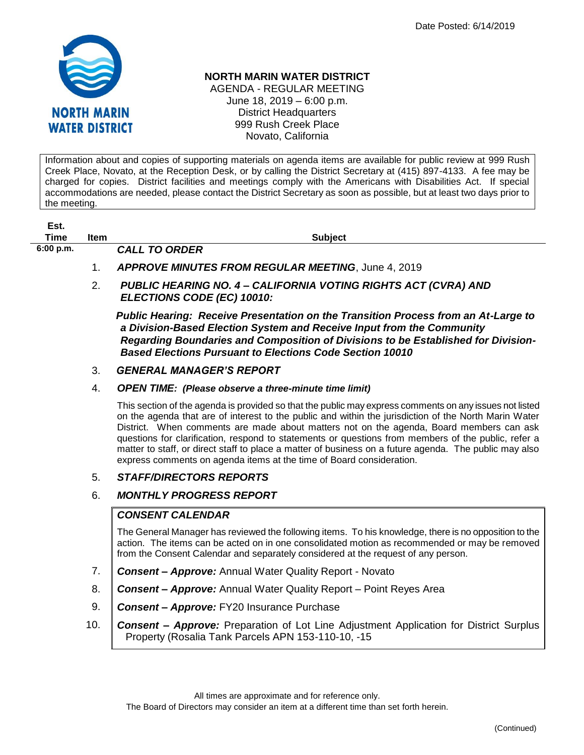

## **NORTH MARIN WATER DISTRICT**

AGENDA - REGULAR MEETING June 18, 2019 – 6:00 p.m. District Headquarters 999 Rush Creek Place Novato, California

Information about and copies of supporting materials on agenda items are available for public review at 999 Rush Creek Place, Novato, at the Reception Desk, or by calling the District Secretary at (415) 897-4133. A fee may be charged for copies. District facilities and meetings comply with the Americans with Disabilities Act. If special accommodations are needed, please contact the District Secretary as soon as possible, but at least two days prior to the meeting.

| Est.      |                |                                                                                                                                                                                                                                                                                                                                                                                                                                                                                                                                                                                                      |
|-----------|----------------|------------------------------------------------------------------------------------------------------------------------------------------------------------------------------------------------------------------------------------------------------------------------------------------------------------------------------------------------------------------------------------------------------------------------------------------------------------------------------------------------------------------------------------------------------------------------------------------------------|
| Time      | <b>Item</b>    | <b>Subject</b>                                                                                                                                                                                                                                                                                                                                                                                                                                                                                                                                                                                       |
| 6:00 p.m. |                | <b>CALL TO ORDER</b>                                                                                                                                                                                                                                                                                                                                                                                                                                                                                                                                                                                 |
|           | $\mathbf{1}$ . | <b>APPROVE MINUTES FROM REGULAR MEETING, June 4, 2019</b>                                                                                                                                                                                                                                                                                                                                                                                                                                                                                                                                            |
|           | 2.             | <b>PUBLIC HEARING NO. 4 – CALIFORNIA VOTING RIGHTS ACT (CVRA) AND</b><br>ELECTIONS CODE (EC) 10010:                                                                                                                                                                                                                                                                                                                                                                                                                                                                                                  |
|           |                | <b>Public Hearing: Receive Presentation on the Transition Process from an At-Large to</b><br>a Division-Based Election System and Receive Input from the Community<br>Regarding Boundaries and Composition of Divisions to be Established for Division-<br><b>Based Elections Pursuant to Elections Code Section 10010</b>                                                                                                                                                                                                                                                                           |
|           | 3.             | <b>GENERAL MANAGER'S REPORT</b>                                                                                                                                                                                                                                                                                                                                                                                                                                                                                                                                                                      |
|           | 4.             | <b>OPEN TIME:</b> (Please observe a three-minute time limit)                                                                                                                                                                                                                                                                                                                                                                                                                                                                                                                                         |
|           |                | This section of the agenda is provided so that the public may express comments on any issues not listed<br>on the agenda that are of interest to the public and within the jurisdiction of the North Marin Water<br>District. When comments are made about matters not on the agenda, Board members can ask<br>questions for clarification, respond to statements or questions from members of the public, refer a<br>matter to staff, or direct staff to place a matter of business on a future agenda. The public may also<br>express comments on agenda items at the time of Board consideration. |
|           |                | CTAFF/DIDFATADO DEDADTO                                                                                                                                                                                                                                                                                                                                                                                                                                                                                                                                                                              |

## 5. *STAFF/DIRECTORS REPORTS*

## 6. *MONTHLY PROGRESS REPORT*

## *CONSENT CALENDAR*

The General Manager has reviewed the following items. To his knowledge, there is no opposition to the action. The items can be acted on in one consolidated motion as recommended or may be removed from the Consent Calendar and separately considered at the request of any person.

- 7. *Consent – Approve:* Annual Water Quality Report Novato
- 8. *Consent – Approve:* Annual Water Quality Report Point Reyes Area
- 9. *Consent – Approve:* FY20 Insurance Purchase
- 10. *Consent – Approve:* Preparation of Lot Line Adjustment Application for District Surplus Property (Rosalia Tank Parcels APN 153-110-10, -15